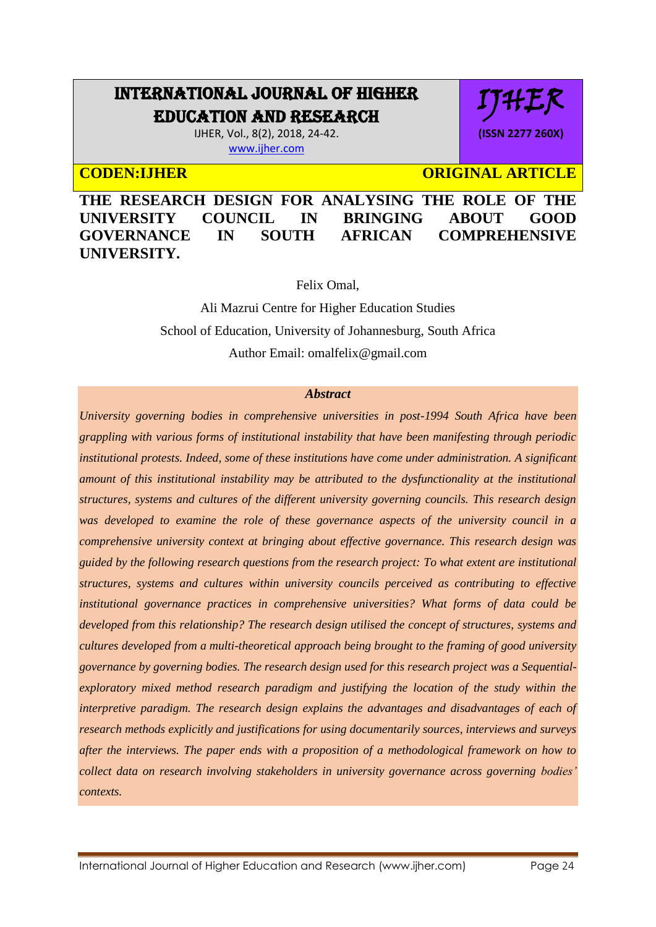# INTERNATIONAL JOURNAL OF HIGHER EDUCATION AND RESEARCH

IJHER, Vol., 8(2), 2018, 24-42. [www.ijher.com](http://www.ijher.com/)

**CODEN:LIHER CODEN:** ORIGINAL ARTICLE

HEK

**(ISSN 2277 260X)**

**THE RESEARCH DESIGN FOR ANALYSING THE ROLE OF THE UNIVERSITY COUNCIL IN BRINGING ABOUT GOOD GOVERNANCE IN SOUTH AFRICAN COMPREHENSIVE UNIVERSITY.** 

Felix Omal,

Ali Mazrui Centre for Higher Education Studies School of Education, University of Johannesburg, South Africa Author Email: [omalfelix@gmail.com](mailto:omalfelix@gmail.com)

#### *Abstract*

*University governing bodies in comprehensive universities in post-1994 South Africa have been grappling with various forms of institutional instability that have been manifesting through periodic institutional protests. Indeed, some of these institutions have come under administration. A significant amount of this institutional instability may be attributed to the dysfunctionality at the institutional structures, systems and cultures of the different university governing councils. This research design was developed to examine the role of these governance aspects of the university council in a comprehensive university context at bringing about effective governance. This research design was guided by the following research questions from the research project: To what extent are institutional structures, systems and cultures within university councils perceived as contributing to effective institutional governance practices in comprehensive universities? What forms of data could be developed from this relationship? The research design utilised the concept of structures, systems and cultures developed from a multi-theoretical approach being brought to the framing of good university governance by governing bodies. The research design used for this research project was a Sequentialexploratory mixed method research paradigm and justifying the location of the study within the interpretive paradigm. The research design explains the advantages and disadvantages of each of research methods explicitly and justifications for using documentarily sources, interviews and surveys after the interviews. The paper ends with a proposition of a methodological framework on how to collect data on research involving stakeholders in university governance across governing bodies' contexts.*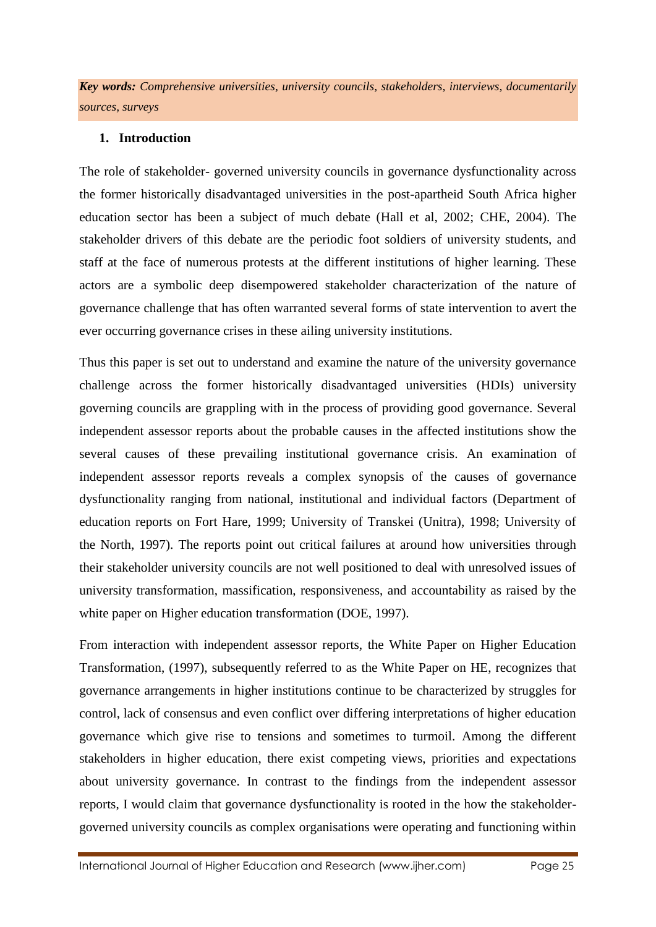*Key words: Comprehensive universities, university councils, stakeholders, interviews, documentarily sources, surveys* 

## **1. Introduction**

The role of stakeholder- governed university councils in governance dysfunctionality across the former historically disadvantaged universities in the post-apartheid South Africa higher education sector has been a subject of much debate (Hall et al, 2002; CHE, 2004). The stakeholder drivers of this debate are the periodic foot soldiers of university students, and staff at the face of numerous protests at the different institutions of higher learning. These actors are a symbolic deep disempowered stakeholder characterization of the nature of governance challenge that has often warranted several forms of state intervention to avert the ever occurring governance crises in these ailing university institutions.

Thus this paper is set out to understand and examine the nature of the university governance challenge across the former historically disadvantaged universities (HDIs) university governing councils are grappling with in the process of providing good governance. Several independent assessor reports about the probable causes in the affected institutions show the several causes of these prevailing institutional governance crisis. An examination of independent assessor reports reveals a complex synopsis of the causes of governance dysfunctionality ranging from national, institutional and individual factors (Department of education reports on Fort Hare, 1999; University of Transkei (Unitra), 1998; University of the North, 1997). The reports point out critical failures at around how universities through their stakeholder university councils are not well positioned to deal with unresolved issues of university transformation, massification, responsiveness, and accountability as raised by the white paper on Higher education transformation (DOE, 1997).

From interaction with independent assessor reports, the White Paper on Higher Education Transformation, (1997), subsequently referred to as the White Paper on HE, recognizes that governance arrangements in higher institutions continue to be characterized by struggles for control, lack of consensus and even conflict over differing interpretations of higher education governance which give rise to tensions and sometimes to turmoil. Among the different stakeholders in higher education, there exist competing views, priorities and expectations about university governance. In contrast to the findings from the independent assessor reports, I would claim that governance dysfunctionality is rooted in the how the stakeholdergoverned university councils as complex organisations were operating and functioning within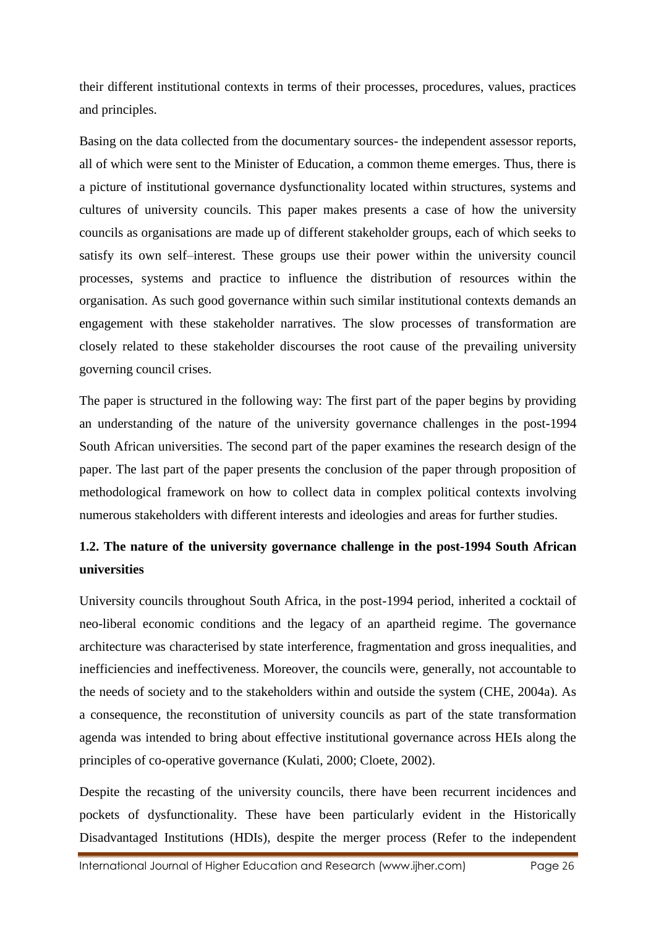their different institutional contexts in terms of their processes, procedures, values, practices and principles.

Basing on the data collected from the documentary sources- the independent assessor reports, all of which were sent to the Minister of Education, a common theme emerges. Thus, there is a picture of institutional governance dysfunctionality located within structures, systems and cultures of university councils. This paper makes presents a case of how the university councils as organisations are made up of different stakeholder groups, each of which seeks to satisfy its own self–interest. These groups use their power within the university council processes, systems and practice to influence the distribution of resources within the organisation. As such good governance within such similar institutional contexts demands an engagement with these stakeholder narratives. The slow processes of transformation are closely related to these stakeholder discourses the root cause of the prevailing university governing council crises.

The paper is structured in the following way: The first part of the paper begins by providing an understanding of the nature of the university governance challenges in the post-1994 South African universities. The second part of the paper examines the research design of the paper. The last part of the paper presents the conclusion of the paper through proposition of methodological framework on how to collect data in complex political contexts involving numerous stakeholders with different interests and ideologies and areas for further studies.

## **1.2. The nature of the university governance challenge in the post-1994 South African universities**

University councils throughout South Africa, in the post-1994 period, inherited a cocktail of neo-liberal economic conditions and the legacy of an apartheid regime. The governance architecture was characterised by state interference, fragmentation and gross inequalities, and inefficiencies and ineffectiveness. Moreover, the councils were, generally, not accountable to the needs of society and to the stakeholders within and outside the system (CHE, 2004a). As a consequence, the reconstitution of university councils as part of the state transformation agenda was intended to bring about effective institutional governance across HEIs along the principles of co-operative governance (Kulati, 2000; Cloete, 2002).

Despite the recasting of the university councils, there have been recurrent incidences and pockets of dysfunctionality. These have been particularly evident in the Historically Disadvantaged Institutions (HDIs), despite the merger process (Refer to the independent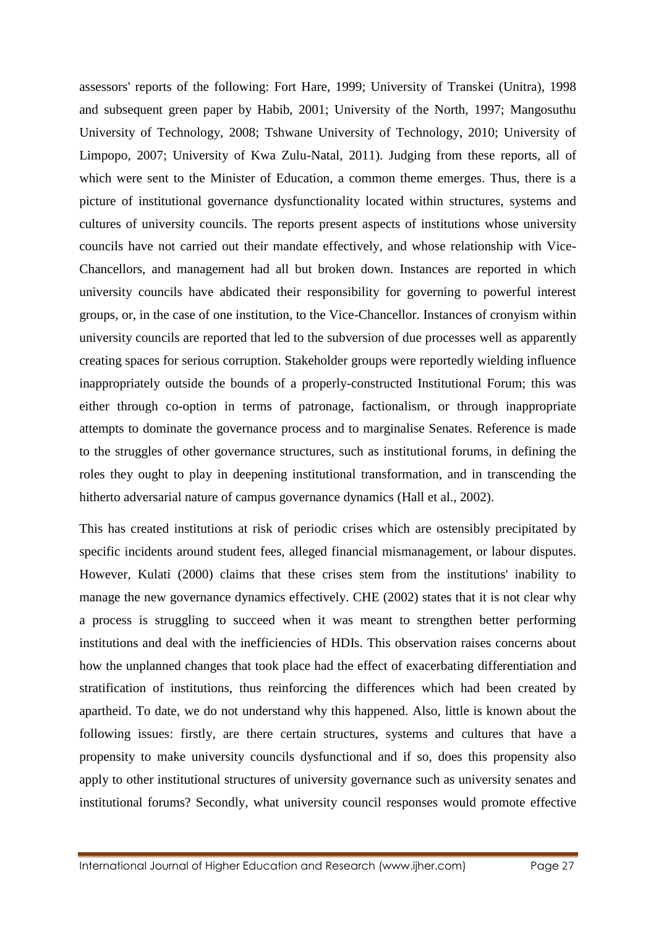assessors' reports of the following: Fort Hare, 1999; University of Transkei (Unitra), 1998 and subsequent green paper by Habib, 2001; University of the North, 1997; Mangosuthu University of Technology, 2008; Tshwane University of Technology, 2010; University of Limpopo, 2007; University of Kwa Zulu-Natal, 2011). Judging from these reports, all of which were sent to the Minister of Education, a common theme emerges. Thus, there is a picture of institutional governance dysfunctionality located within structures, systems and cultures of university councils. The reports present aspects of institutions whose university councils have not carried out their mandate effectively, and whose relationship with Vice-Chancellors, and management had all but broken down. Instances are reported in which university councils have abdicated their responsibility for governing to powerful interest groups, or, in the case of one institution, to the Vice-Chancellor. Instances of cronyism within university councils are reported that led to the subversion of due processes well as apparently creating spaces for serious corruption. Stakeholder groups were reportedly wielding influence inappropriately outside the bounds of a properly-constructed Institutional Forum; this was either through co-option in terms of patronage, factionalism, or through inappropriate attempts to dominate the governance process and to marginalise Senates. Reference is made to the struggles of other governance structures, such as institutional forums, in defining the roles they ought to play in deepening institutional transformation, and in transcending the hitherto adversarial nature of campus governance dynamics (Hall et al., 2002).

This has created institutions at risk of periodic crises which are ostensibly precipitated by specific incidents around student fees, alleged financial mismanagement, or labour disputes. However, Kulati (2000) claims that these crises stem from the institutions' inability to manage the new governance dynamics effectively. CHE (2002) states that it is not clear why a process is struggling to succeed when it was meant to strengthen better performing institutions and deal with the inefficiencies of HDIs. This observation raises concerns about how the unplanned changes that took place had the effect of exacerbating differentiation and stratification of institutions, thus reinforcing the differences which had been created by apartheid. To date, we do not understand why this happened. Also, little is known about the following issues: firstly, are there certain structures, systems and cultures that have a propensity to make university councils dysfunctional and if so, does this propensity also apply to other institutional structures of university governance such as university senates and institutional forums? Secondly, what university council responses would promote effective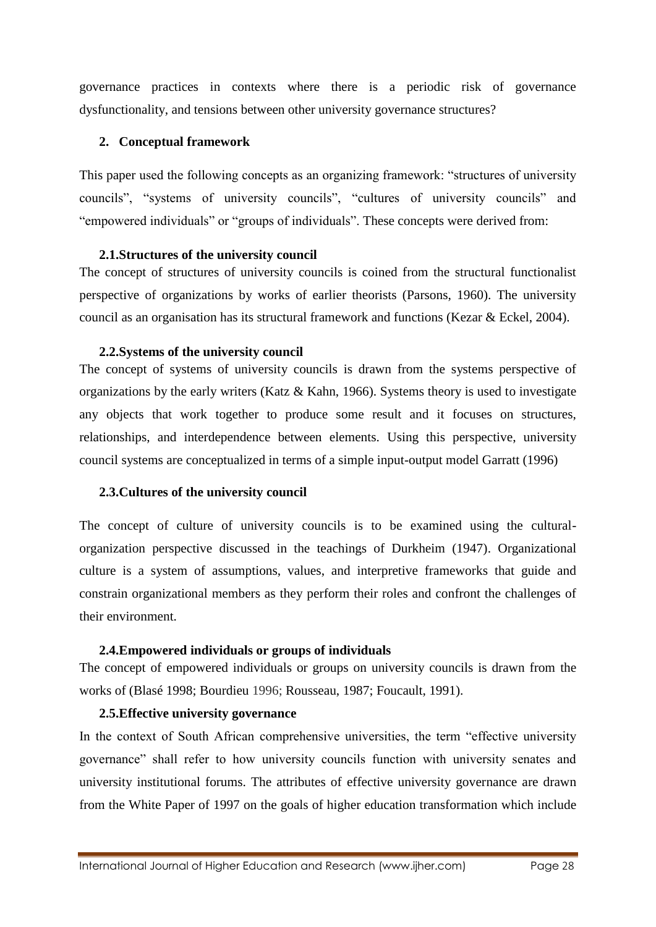governance practices in contexts where there is a periodic risk of governance dysfunctionality, and tensions between other university governance structures?

## **2. Conceptual framework**

This paper used the following concepts as an organizing framework: "structures of university councils", "systems of university councils", "cultures of university councils" and "empowered individuals" or "groups of individuals". These concepts were derived from:

## **2.1.Structures of the university council**

The concept of structures of university councils is coined from the structural functionalist perspective of organizations by works of earlier theorists (Parsons, 1960). The university council as an organisation has its structural framework and functions (Kezar & Eckel, 2004).

## **2.2.Systems of the university council**

The concept of systems of university councils is drawn from the systems perspective of organizations by the early writers (Katz & Kahn, 1966). Systems theory is used to investigate any objects that work together to produce some result and it focuses on structures, relationships, and interdependence between elements. Using this perspective, university council systems are conceptualized in terms of a simple input-output model Garratt (1996)

## **2.3.Cultures of the university council**

The concept of culture of university councils is to be examined using the culturalorganization perspective discussed in the teachings of Durkheim (1947). Organizational culture is a system of assumptions, values, and interpretive frameworks that guide and constrain organizational members as they perform their roles and confront the challenges of their environment.

## **2.4.Empowered individuals or groups of individuals**

The concept of empowered individuals or groups on university councils is drawn from the works of (Blasé 1998; Bourdieu 1996; Rousseau, 1987; Foucault, 1991).

## **2.5.Effective university governance**

In the context of South African comprehensive universities, the term "effective university governance" shall refer to how university councils function with university senates and university institutional forums. The attributes of effective university governance are drawn from the White Paper of 1997 on the goals of higher education transformation which include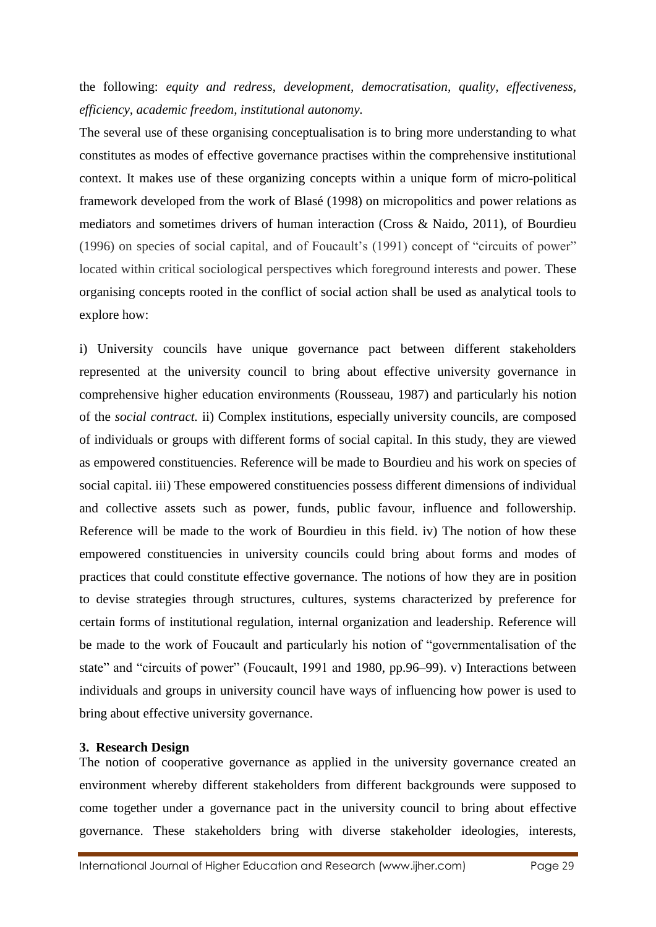the following: *equity and redress*, *development, democratisation, quality, effectiveness, efficiency, academic freedom, institutional autonomy.*

The several use of these organising conceptualisation is to bring more understanding to what constitutes as modes of effective governance practises within the comprehensive institutional context. It makes use of these organizing concepts within a unique form of micro-political framework developed from the work of Blasé (1998) on micropolitics and power relations as mediators and sometimes drivers of human interaction (Cross & Naido, 2011), of Bourdieu (1996) on species of social capital, and of Foucault's (1991) concept of "circuits of power" located within critical sociological perspectives which foreground interests and power. These organising concepts rooted in the conflict of social action shall be used as analytical tools to explore how:

i) University councils have unique governance pact between different stakeholders represented at the university council to bring about effective university governance in comprehensive higher education environments (Rousseau, 1987) and particularly his notion of the *social contract.* ii) Complex institutions, especially university councils, are composed of individuals or groups with different forms of social capital. In this study, they are viewed as empowered constituencies. Reference will be made to Bourdieu and his work on species of social capital. iii) These empowered constituencies possess different dimensions of individual and collective assets such as power, funds, public favour, influence and followership. Reference will be made to the work of Bourdieu in this field. iv) The notion of how these empowered constituencies in university councils could bring about forms and modes of practices that could constitute effective governance. The notions of how they are in position to devise strategies through structures, cultures, systems characterized by preference for certain forms of institutional regulation, internal organization and leadership. Reference will be made to the work of Foucault and particularly his notion of "governmentalisation of the state" and "circuits of power" (Foucault, 1991 and 1980, pp.96–99). v) Interactions between individuals and groups in university council have ways of influencing how power is used to bring about effective university governance.

#### **3. Research Design**

The notion of cooperative governance as applied in the university governance created an environment whereby different stakeholders from different backgrounds were supposed to come together under a governance pact in the university council to bring about effective governance. These stakeholders bring with diverse stakeholder ideologies, interests,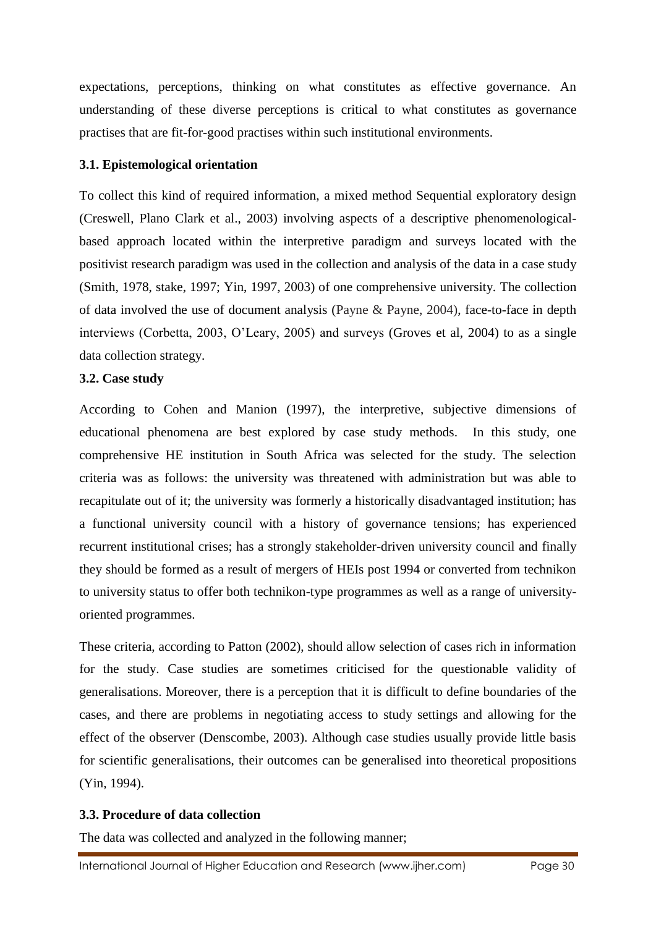expectations, perceptions, thinking on what constitutes as effective governance. An understanding of these diverse perceptions is critical to what constitutes as governance practises that are fit-for-good practises within such institutional environments.

## **3.1. Epistemological orientation**

To collect this kind of required information, a mixed method Sequential exploratory design (Creswell, Plano Clark et al., 2003) involving aspects of a descriptive phenomenologicalbased approach located within the interpretive paradigm and surveys located with the positivist research paradigm was used in the collection and analysis of the data in a case study (Smith, 1978, stake, 1997; Yin, 1997, 2003) of one comprehensive university. The collection of data involved the use of document analysis (Payne & Payne, 2004), face-to-face in depth interviews (Corbetta, 2003, O'Leary, 2005) and surveys (Groves et al, 2004) to as a single data collection strategy.

## **3.2. Case study**

According to Cohen and Manion (1997), the interpretive, subjective dimensions of educational phenomena are best explored by case study methods. In this study, one comprehensive HE institution in South Africa was selected for the study. The selection criteria was as follows: the university was threatened with administration but was able to recapitulate out of it; the university was formerly a historically disadvantaged institution; has a functional university council with a history of governance tensions; has experienced recurrent institutional crises; has a strongly stakeholder-driven university council and finally they should be formed as a result of mergers of HEIs post 1994 or converted from technikon to university status to offer both technikon-type programmes as well as a range of universityoriented programmes.

These criteria, according to Patton (2002), should allow selection of cases rich in information for the study. Case studies are sometimes criticised for the questionable validity of generalisations. Moreover, there is a perception that it is difficult to define boundaries of the cases, and there are problems in negotiating access to study settings and allowing for the effect of the observer (Denscombe, 2003). Although case studies usually provide little basis for scientific generalisations, their outcomes can be generalised into theoretical propositions (Yin, 1994).

## **3.3. Procedure of data collection**

The data was collected and analyzed in the following manner;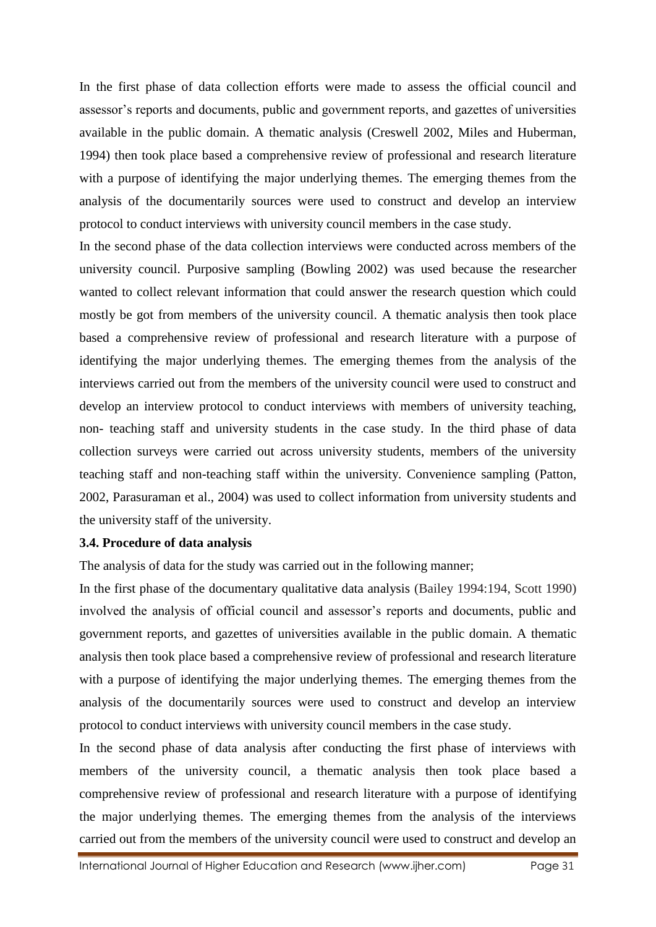In the first phase of data collection efforts were made to assess the official council and assessor's reports and documents, public and government reports, and gazettes of universities available in the public domain. A thematic analysis (Creswell 2002, Miles and Huberman, 1994) then took place based a comprehensive review of professional and research literature with a purpose of identifying the major underlying themes. The emerging themes from the analysis of the documentarily sources were used to construct and develop an interview protocol to conduct interviews with university council members in the case study.

In the second phase of the data collection interviews were conducted across members of the university council. Purposive sampling (Bowling 2002) was used because the researcher wanted to collect relevant information that could answer the research question which could mostly be got from members of the university council. A thematic analysis then took place based a comprehensive review of professional and research literature with a purpose of identifying the major underlying themes. The emerging themes from the analysis of the interviews carried out from the members of the university council were used to construct and develop an interview protocol to conduct interviews with members of university teaching, non- teaching staff and university students in the case study. In the third phase of data collection surveys were carried out across university students, members of the university teaching staff and non-teaching staff within the university. Convenience sampling (Patton, 2002, Parasuraman et al., 2004) was used to collect information from university students and the university staff of the university.

#### **3.4. Procedure of data analysis**

The analysis of data for the study was carried out in the following manner;

In the first phase of the documentary qualitative data analysis (Bailey 1994:194, Scott 1990) involved the analysis of official council and assessor's reports and documents, public and government reports, and gazettes of universities available in the public domain. A thematic analysis then took place based a comprehensive review of professional and research literature with a purpose of identifying the major underlying themes. The emerging themes from the analysis of the documentarily sources were used to construct and develop an interview protocol to conduct interviews with university council members in the case study.

In the second phase of data analysis after conducting the first phase of interviews with members of the university council, a thematic analysis then took place based a comprehensive review of professional and research literature with a purpose of identifying the major underlying themes. The emerging themes from the analysis of the interviews carried out from the members of the university council were used to construct and develop an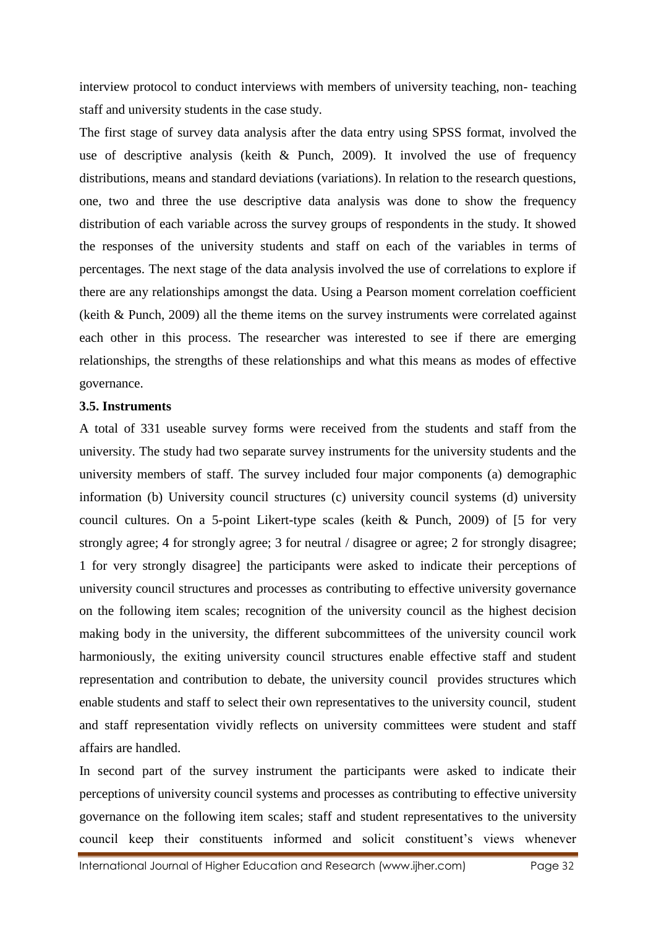interview protocol to conduct interviews with members of university teaching, non- teaching staff and university students in the case study.

The first stage of survey data analysis after the data entry using SPSS format, involved the use of descriptive analysis (keith & Punch, 2009). It involved the use of frequency distributions, means and standard deviations (variations). In relation to the research questions, one, two and three the use descriptive data analysis was done to show the frequency distribution of each variable across the survey groups of respondents in the study. It showed the responses of the university students and staff on each of the variables in terms of percentages. The next stage of the data analysis involved the use of correlations to explore if there are any relationships amongst the data. Using a Pearson moment correlation coefficient (keith & Punch, 2009) all the theme items on the survey instruments were correlated against each other in this process. The researcher was interested to see if there are emerging relationships, the strengths of these relationships and what this means as modes of effective governance.

#### **3.5. Instruments**

A total of 331 useable survey forms were received from the students and staff from the university. The study had two separate survey instruments for the university students and the university members of staff. The survey included four major components (a) demographic information (b) University council structures (c) university council systems (d) university council cultures. On a 5-point Likert-type scales (keith & Punch, 2009) of [5 for very strongly agree; 4 for strongly agree; 3 for neutral / disagree or agree; 2 for strongly disagree; 1 for very strongly disagree] the participants were asked to indicate their perceptions of university council structures and processes as contributing to effective university governance on the following item scales; recognition of the university council as the highest decision making body in the university, the different subcommittees of the university council work harmoniously, the exiting university council structures enable effective staff and student representation and contribution to debate, the university council provides structures which enable students and staff to select their own representatives to the university council, student and staff representation vividly reflects on university committees were student and staff affairs are handled.

In second part of the survey instrument the participants were asked to indicate their perceptions of university council systems and processes as contributing to effective university governance on the following item scales; staff and student representatives to the university council keep their constituents informed and solicit constituent's views whenever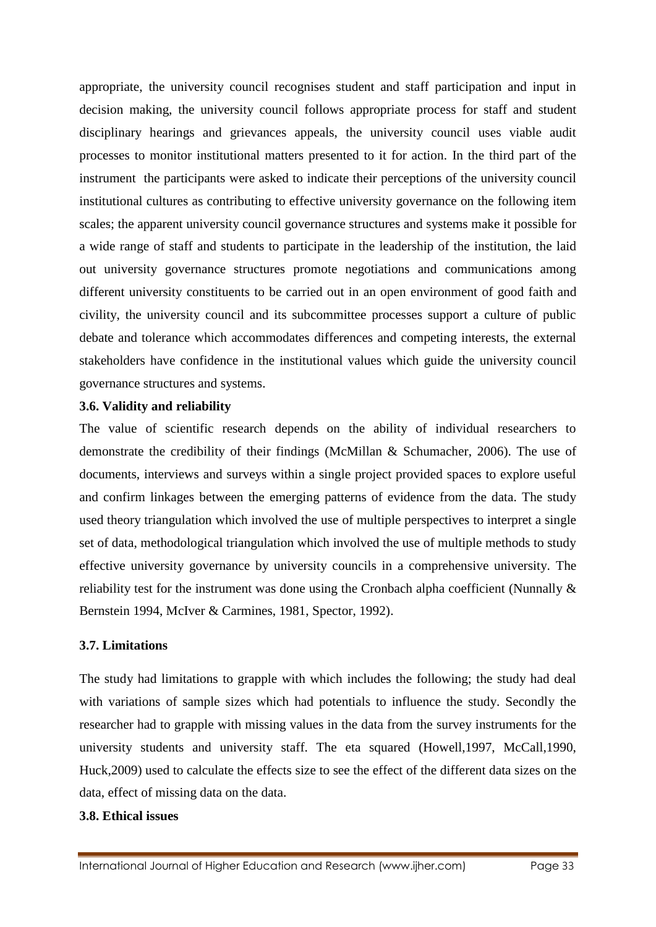appropriate, the university council recognises student and staff participation and input in decision making, the university council follows appropriate process for staff and student disciplinary hearings and grievances appeals, the university council uses viable audit processes to monitor institutional matters presented to it for action. In the third part of the instrument the participants were asked to indicate their perceptions of the university council institutional cultures as contributing to effective university governance on the following item scales; the apparent university council governance structures and systems make it possible for a wide range of staff and students to participate in the leadership of the institution, the laid out university governance structures promote negotiations and communications among different university constituents to be carried out in an open environment of good faith and civility, the university council and its subcommittee processes support a culture of public debate and tolerance which accommodates differences and competing interests, the external stakeholders have confidence in the institutional values which guide the university council governance structures and systems.

## **3.6. Validity and reliability**

The value of scientific research depends on the ability of individual researchers to demonstrate the credibility of their findings (McMillan & Schumacher, 2006). The use of documents, interviews and surveys within a single project provided spaces to explore useful and confirm linkages between the emerging patterns of evidence from the data. The study used theory triangulation which involved the use of multiple perspectives to interpret a single set of data, methodological triangulation which involved the use of multiple methods to study effective university governance by university councils in a comprehensive university. The reliability test for the instrument was done using the Cronbach alpha coefficient (Nunnally & Bernstein 1994, McIver & Carmines, 1981, Spector, 1992).

## **3.7. Limitations**

The study had limitations to grapple with which includes the following; the study had deal with variations of sample sizes which had potentials to influence the study. Secondly the researcher had to grapple with missing values in the data from the survey instruments for the university students and university staff. The eta squared (Howell,1997, McCall,1990, Huck,2009) used to calculate the effects size to see the effect of the different data sizes on the data, effect of missing data on the data.

## **3.8. Ethical issues**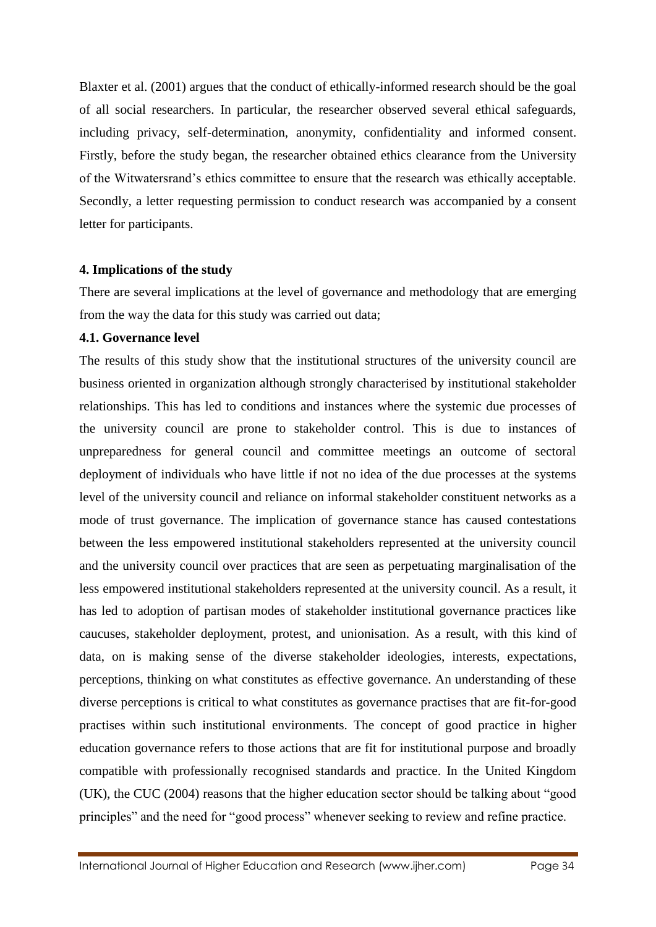Blaxter et al. (2001) argues that the conduct of ethically-informed research should be the goal of all social researchers. In particular, the researcher observed several ethical safeguards, including privacy, self-determination, anonymity, confidentiality and informed consent. Firstly, before the study began, the researcher obtained ethics clearance from the University of the Witwatersrand's ethics committee to ensure that the research was ethically acceptable. Secondly, a letter requesting permission to conduct research was accompanied by a consent letter for participants.

#### **4. Implications of the study**

There are several implications at the level of governance and methodology that are emerging from the way the data for this study was carried out data;

## **4.1. Governance level**

The results of this study show that the institutional structures of the university council are business oriented in organization although strongly characterised by institutional stakeholder relationships. This has led to conditions and instances where the systemic due processes of the university council are prone to stakeholder control. This is due to instances of unpreparedness for general council and committee meetings an outcome of sectoral deployment of individuals who have little if not no idea of the due processes at the systems level of the university council and reliance on informal stakeholder constituent networks as a mode of trust governance. The implication of governance stance has caused contestations between the less empowered institutional stakeholders represented at the university council and the university council over practices that are seen as perpetuating marginalisation of the less empowered institutional stakeholders represented at the university council. As a result, it has led to adoption of partisan modes of stakeholder institutional governance practices like caucuses, stakeholder deployment, protest, and unionisation. As a result, with this kind of data, on is making sense of the diverse stakeholder ideologies, interests, expectations, perceptions, thinking on what constitutes as effective governance. An understanding of these diverse perceptions is critical to what constitutes as governance practises that are fit-for-good practises within such institutional environments. The concept of good practice in higher education governance refers to those actions that are fit for institutional purpose and broadly compatible with professionally recognised standards and practice. In the United Kingdom (UK), the CUC (2004) reasons that the higher education sector should be talking about "good principles" and the need for "good process" whenever seeking to review and refine practice.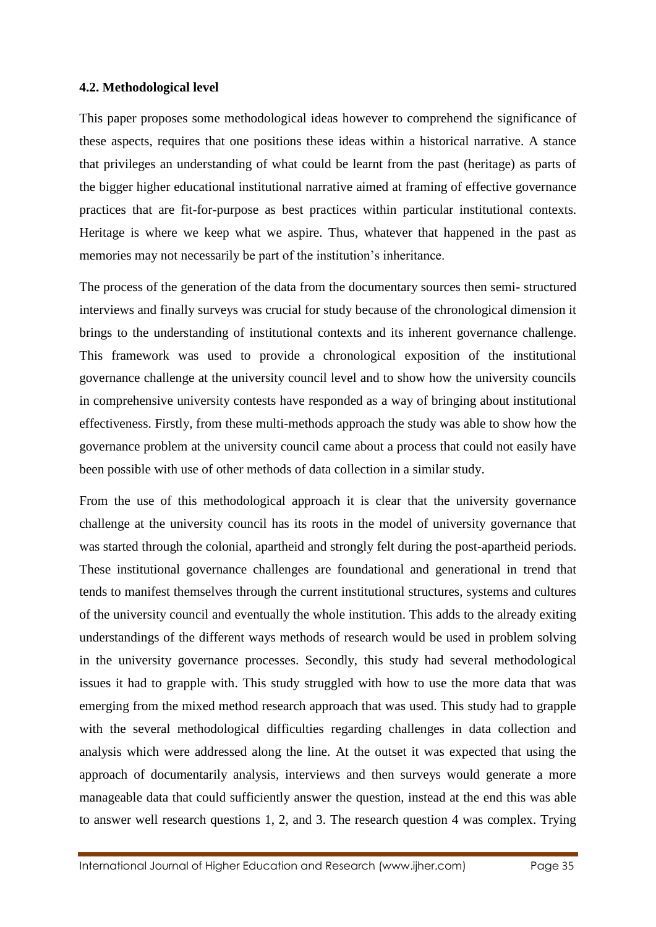#### **4.2. Methodological level**

This paper proposes some methodological ideas however to comprehend the significance of these aspects, requires that one positions these ideas within a historical narrative. A stance that privileges an understanding of what could be learnt from the past (heritage) as parts of the bigger higher educational institutional narrative aimed at framing of effective governance practices that are fit-for-purpose as best practices within particular institutional contexts. Heritage is where we keep what we aspire. Thus, whatever that happened in the past as memories may not necessarily be part of the institution's inheritance.

The process of the generation of the data from the documentary sources then semi- structured interviews and finally surveys was crucial for study because of the chronological dimension it brings to the understanding of institutional contexts and its inherent governance challenge. This framework was used to provide a chronological exposition of the institutional governance challenge at the university council level and to show how the university councils in comprehensive university contests have responded as a way of bringing about institutional effectiveness. Firstly, from these multi-methods approach the study was able to show how the governance problem at the university council came about a process that could not easily have been possible with use of other methods of data collection in a similar study.

From the use of this methodological approach it is clear that the university governance challenge at the university council has its roots in the model of university governance that was started through the colonial, apartheid and strongly felt during the post-apartheid periods. These institutional governance challenges are foundational and generational in trend that tends to manifest themselves through the current institutional structures, systems and cultures of the university council and eventually the whole institution. This adds to the already exiting understandings of the different ways methods of research would be used in problem solving in the university governance processes. Secondly, this study had several methodological issues it had to grapple with. This study struggled with how to use the more data that was emerging from the mixed method research approach that was used. This study had to grapple with the several methodological difficulties regarding challenges in data collection and analysis which were addressed along the line. At the outset it was expected that using the approach of documentarily analysis, interviews and then surveys would generate a more manageable data that could sufficiently answer the question, instead at the end this was able to answer well research questions 1, 2, and 3. The research question 4 was complex. Trying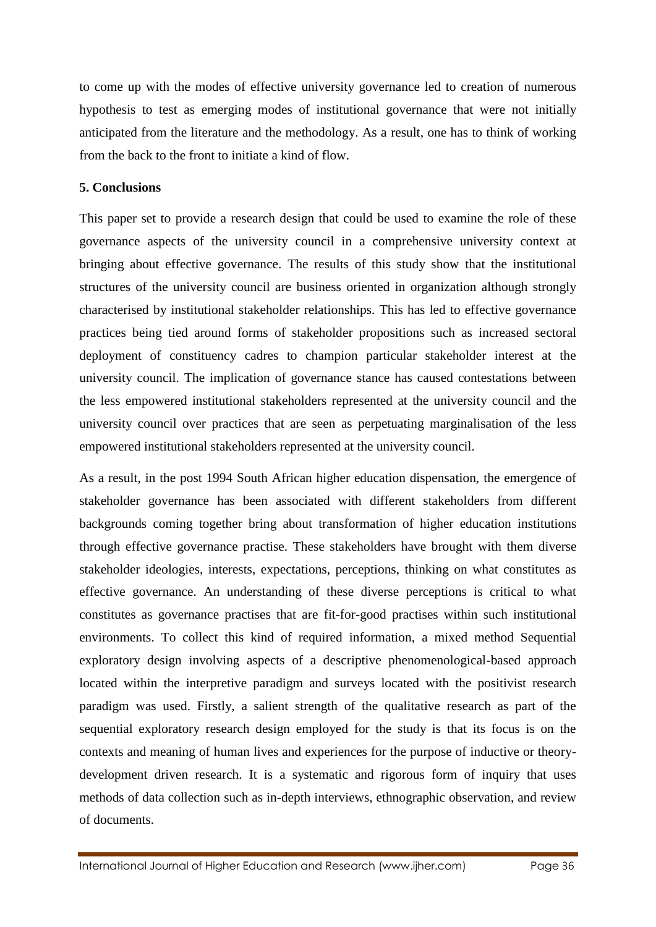to come up with the modes of effective university governance led to creation of numerous hypothesis to test as emerging modes of institutional governance that were not initially anticipated from the literature and the methodology. As a result, one has to think of working from the back to the front to initiate a kind of flow.

## **5. Conclusions**

This paper set to provide a research design that could be used to examine the role of these governance aspects of the university council in a comprehensive university context at bringing about effective governance. The results of this study show that the institutional structures of the university council are business oriented in organization although strongly characterised by institutional stakeholder relationships. This has led to effective governance practices being tied around forms of stakeholder propositions such as increased sectoral deployment of constituency cadres to champion particular stakeholder interest at the university council. The implication of governance stance has caused contestations between the less empowered institutional stakeholders represented at the university council and the university council over practices that are seen as perpetuating marginalisation of the less empowered institutional stakeholders represented at the university council.

As a result, in the post 1994 South African higher education dispensation, the emergence of stakeholder governance has been associated with different stakeholders from different backgrounds coming together bring about transformation of higher education institutions through effective governance practise. These stakeholders have brought with them diverse stakeholder ideologies, interests, expectations, perceptions, thinking on what constitutes as effective governance. An understanding of these diverse perceptions is critical to what constitutes as governance practises that are fit-for-good practises within such institutional environments. To collect this kind of required information, a mixed method Sequential exploratory design involving aspects of a descriptive phenomenological-based approach located within the interpretive paradigm and surveys located with the positivist research paradigm was used. Firstly, a salient strength of the qualitative research as part of the sequential exploratory research design employed for the study is that its focus is on the contexts and meaning of human lives and experiences for the purpose of inductive or theorydevelopment driven research. It is a systematic and rigorous form of inquiry that uses methods of data collection such as in-depth interviews, ethnographic observation, and review of documents.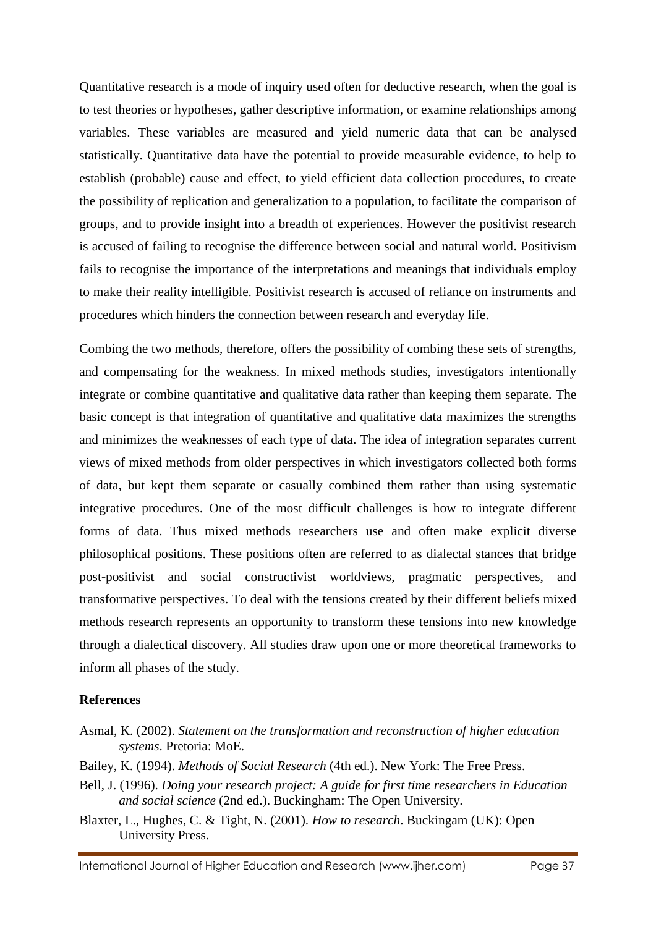Quantitative research is a mode of inquiry used often for deductive research, when the goal is to test theories or hypotheses, gather descriptive information, or examine relationships among variables. These variables are measured and yield numeric data that can be analysed statistically. Quantitative data have the potential to provide measurable evidence, to help to establish (probable) cause and effect, to yield efficient data collection procedures, to create the possibility of replication and generalization to a population, to facilitate the comparison of groups, and to provide insight into a breadth of experiences. However the positivist research is accused of failing to recognise the difference between social and natural world. Positivism fails to recognise the importance of the interpretations and meanings that individuals employ to make their reality intelligible. Positivist research is accused of reliance on instruments and procedures which hinders the connection between research and everyday life.

Combing the two methods, therefore, offers the possibility of combing these sets of strengths, and compensating for the weakness. In mixed methods studies, investigators intentionally integrate or combine quantitative and qualitative data rather than keeping them separate. The basic concept is that integration of quantitative and qualitative data maximizes the strengths and minimizes the weaknesses of each type of data. The idea of integration separates current views of mixed methods from older perspectives in which investigators collected both forms of data, but kept them separate or casually combined them rather than using systematic integrative procedures. One of the most difficult challenges is how to integrate different forms of data. Thus mixed methods researchers use and often make explicit diverse philosophical positions. These positions often are referred to as dialectal stances that bridge post-positivist and social constructivist worldviews, pragmatic perspectives, and transformative perspectives. To deal with the tensions created by their different beliefs mixed methods research represents an opportunity to transform these tensions into new knowledge through a dialectical discovery. All studies draw upon one or more theoretical frameworks to inform all phases of the study.

#### **References**

- Asmal, K. (2002). *Statement on the transformation and reconstruction of higher education systems*. Pretoria: MoE.
- Bailey, K. (1994). *Methods of Social Research* (4th ed.). New York: The Free Press.
- Bell, J. (1996). *Doing your research project: A guide for first time researchers in Education and social science* (2nd ed.). Buckingham: The Open University.
- Blaxter, L., Hughes, C. & Tight, N. (2001). *How to research*. Buckingam (UK): Open University Press.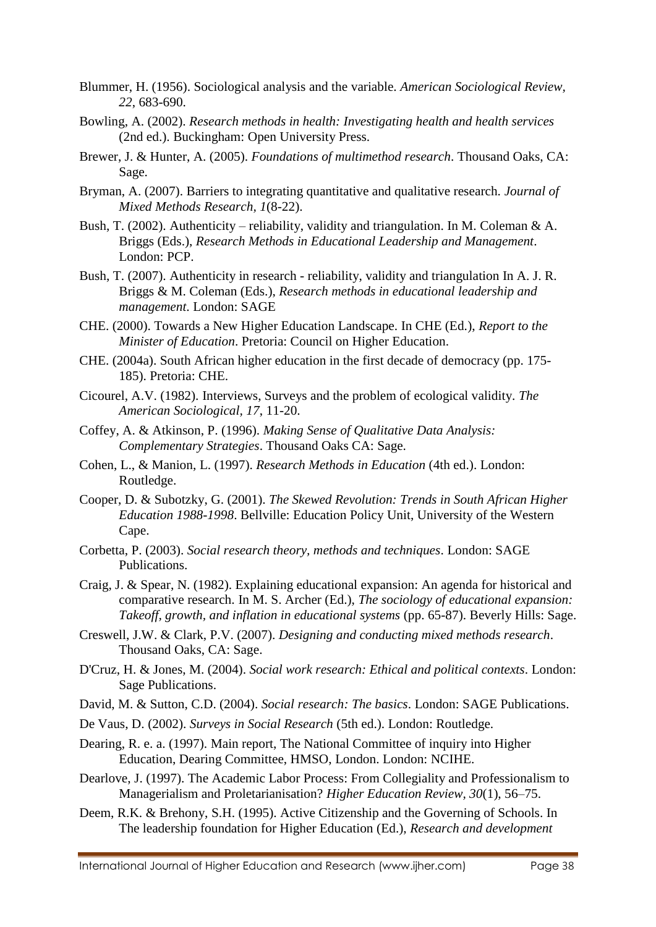- Blummer, H. (1956). Sociological analysis and the variable. *American Sociological Review, 22*, 683-690.
- Bowling, A. (2002). *Research methods in health: Investigating health and health services* (2nd ed.). Buckingham: Open University Press.
- Brewer, J. & Hunter, A. (2005). *Foundations of multimethod research*. Thousand Oaks, CA: Sage.
- Bryman, A. (2007). Barriers to integrating quantitative and qualitative research. *Journal of Mixed Methods Research, 1*(8-22).
- Bush, T. (2002). Authenticity reliability, validity and triangulation. In M. Coleman & A. Briggs (Eds.), *Research Methods in Educational Leadership and Management*. London: PCP.
- Bush, T. (2007). Authenticity in research reliability, validity and triangulation In A. J. R. Briggs & M. Coleman (Eds.), *Research methods in educational leadership and management*. London: SAGE
- CHE. (2000). Towards a New Higher Education Landscape. In CHE (Ed.), *Report to the Minister of Education*. Pretoria: Council on Higher Education.
- CHE. (2004a). South African higher education in the first decade of democracy (pp. 175- 185). Pretoria: CHE.
- Cicourel, A.V. (1982). Interviews, Surveys and the problem of ecological validity. *The American Sociological, 17*, 11-20.
- Coffey, A. & Atkinson, P. (1996). *Making Sense of Qualitative Data Analysis: Complementary Strategies*. Thousand Oaks CA: Sage.
- Cohen, L., & Manion, L. (1997). *Research Methods in Education* (4th ed.). London: Routledge.
- Cooper, D. & Subotzky, G. (2001). *The Skewed Revolution: Trends in South African Higher Education 1988-1998*. Bellville: Education Policy Unit, University of the Western Cape.
- Corbetta, P. (2003). *Social research theory, methods and techniques*. London: SAGE Publications.
- Craig, J. & Spear, N. (1982). Explaining educational expansion: An agenda for historical and comparative research. In M. S. Archer (Ed.), *The sociology of educational expansion: Takeoff, growth, and inflation in educational systems* (pp. 65-87). Beverly Hills: Sage.
- Creswell, J.W. & Clark, P.V. (2007). *Designing and conducting mixed methods research*. Thousand Oaks, CA: Sage.
- D'Cruz, H. & Jones, M. (2004). *Social work research: Ethical and political contexts*. London: Sage Publications.
- David, M. & Sutton, C.D. (2004). *Social research: The basics*. London: SAGE Publications.
- De Vaus, D. (2002). *Surveys in Social Research* (5th ed.). London: Routledge.
- Dearing, R. e. a. (1997). Main report, The National Committee of inquiry into Higher Education, Dearing Committee, HMSO, London. London: NCIHE.
- Dearlove, J. (1997). The Academic Labor Process: From Collegiality and Professionalism to Managerialism and Proletarianisation? *Higher Education Review, 30*(1), 56–75.
- Deem, R.K. & Brehony, S.H. (1995). Active Citizenship and the Governing of Schools. In The leadership foundation for Higher Education (Ed.), *Research and development*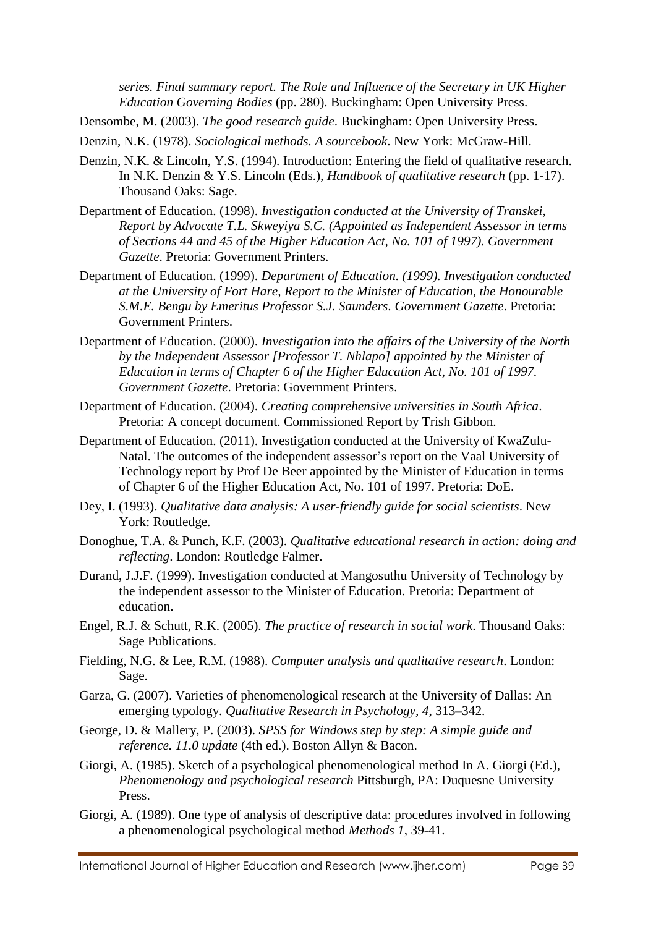*series. Final summary report. The Role and Influence of the Secretary in UK Higher Education Governing Bodies* (pp. 280). Buckingham: Open University Press.

Densombe, M. (2003). *The good research guide*. Buckingham: Open University Press.

Denzin, N.K. (1978). *Sociological methods. A sourcebook*. New York: McGraw-Hill.

- Denzin, N.K. & Lincoln, Y.S. (1994). Introduction: Entering the field of qualitative research. In N.K. Denzin & Y.S. Lincoln (Eds.), *Handbook of qualitative research* (pp. 1-17). Thousand Oaks: Sage.
- Department of Education. (1998). *Investigation conducted at the University of Transkei, Report by Advocate T.L. Skweyiya S.C. (Appointed as Independent Assessor in terms of Sections 44 and 45 of the Higher Education Act, No. 101 of 1997). Government Gazette*. Pretoria: Government Printers.
- Department of Education. (1999). *Department of Education. (1999). Investigation conducted at the University of Fort Hare, Report to the Minister of Education, the Honourable S.M.E. Bengu by Emeritus Professor S.J. Saunders. Government Gazette*. Pretoria: Government Printers.
- Department of Education. (2000). *Investigation into the affairs of the University of the North by the Independent Assessor [Professor T. Nhlapo] appointed by the Minister of Education in terms of Chapter 6 of the Higher Education Act, No. 101 of 1997. Government Gazette*. Pretoria: Government Printers.
- Department of Education. (2004). *Creating comprehensive universities in South Africa*. Pretoria: A concept document. Commissioned Report by Trish Gibbon.
- Department of Education. (2011). Investigation conducted at the University of KwaZulu-Natal. The outcomes of the independent assessor's report on the Vaal University of Technology report by Prof De Beer appointed by the Minister of Education in terms of Chapter 6 of the Higher Education Act, No. 101 of 1997. Pretoria: DoE.
- Dey, I. (1993). *Qualitative data analysis: A user-friendly guide for social scientists*. New York: Routledge.
- Donoghue, T.A. & Punch, K.F. (2003). *Qualitative educational research in action: doing and reflecting*. London: Routledge Falmer.
- Durand, J.J.F. (1999). Investigation conducted at Mangosuthu University of Technology by the independent assessor to the Minister of Education. Pretoria: Department of education.
- Engel, R.J. & Schutt, R.K. (2005). *The practice of research in social work*. Thousand Oaks: Sage Publications.
- Fielding, N.G. & Lee, R.M. (1988). *Computer analysis and qualitative research*. London: Sage.
- Garza, G. (2007). Varieties of phenomenological research at the University of Dallas: An emerging typology. *Qualitative Research in Psychology, 4*, 313–342.
- George, D. & Mallery, P. (2003). *SPSS for Windows step by step: A simple guide and reference. 11.0 update* (4th ed.). Boston Allyn & Bacon.
- Giorgi, A. (1985). Sketch of a psychological phenomenological method In A. Giorgi (Ed.), *Phenomenology and psychological research* Pittsburgh, PA: Duquesne University Press.
- Giorgi, A. (1989). One type of analysis of descriptive data: procedures involved in following a phenomenological psychological method *Methods 1*, 39-41.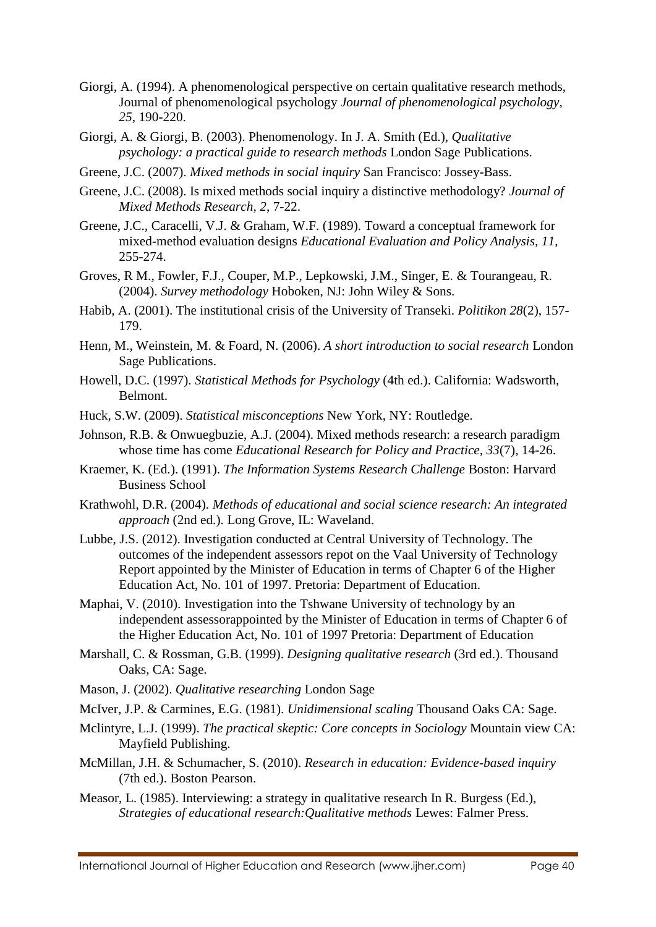- Giorgi, A. (1994). A phenomenological perspective on certain qualitative research methods, Journal of phenomenological psychology *Journal of phenomenological psychology, 25*, 190-220.
- Giorgi, A. & Giorgi, B. (2003). Phenomenology. In J. A. Smith (Ed.), *Qualitative psychology: a practical guide to research methods* London Sage Publications.
- Greene, J.C. (2007). *Mixed methods in social inquiry* San Francisco: Jossey-Bass.
- Greene, J.C. (2008). Is mixed methods social inquiry a distinctive methodology? *Journal of Mixed Methods Research, 2*, 7-22.
- Greene, J.C., Caracelli, V.J. & Graham, W.F. (1989). Toward a conceptual framework for mixed-method evaluation designs *Educational Evaluation and Policy Analysis, 11*, 255-274.
- Groves, R M., Fowler, F.J., Couper, M.P., Lepkowski, J.M., Singer, E. & Tourangeau, R. (2004). *Survey methodology* Hoboken, NJ: John Wiley & Sons.
- Habib, A. (2001). The institutional crisis of the University of Transeki. *Politikon 28*(2), 157- 179.
- Henn, M., Weinstein, M. & Foard, N. (2006). *A short introduction to social research* London Sage Publications.
- Howell, D.C. (1997). *Statistical Methods for Psychology* (4th ed.). California: Wadsworth, Belmont.
- Huck, S.W. (2009). *Statistical misconceptions* New York, NY: Routledge.
- Johnson, R.B. & Onwuegbuzie, A.J. (2004). Mixed methods research: a research paradigm whose time has come *Educational Research for Policy and Practice, 33*(7), 14-26.
- Kraemer, K. (Ed.). (1991). *The Information Systems Research Challenge* Boston: Harvard Business School
- Krathwohl, D.R. (2004). *Methods of educational and social science research: An integrated approach* (2nd ed.). Long Grove, IL: Waveland.
- Lubbe, J.S. (2012). Investigation conducted at Central University of Technology. The outcomes of the independent assessors repot on the Vaal University of Technology Report appointed by the Minister of Education in terms of Chapter 6 of the Higher Education Act, No. 101 of 1997. Pretoria: Department of Education.
- Maphai, V. (2010). Investigation into the Tshwane University of technology by an independent assessorappointed by the Minister of Education in terms of Chapter 6 of the Higher Education Act, No. 101 of 1997 Pretoria: Department of Education
- Marshall, C. & Rossman, G.B. (1999). *Designing qualitative research* (3rd ed.). Thousand Oaks, CA: Sage.
- Mason, J. (2002). *Qualitative researching* London Sage
- McIver, J.P. & Carmines, E.G. (1981). *Unidimensional scaling* Thousand Oaks CA: Sage.
- Mclintyre, L.J. (1999). *The practical skeptic: Core concepts in Sociology* Mountain view CA: Mayfield Publishing.
- McMillan, J.H. & Schumacher, S. (2010). *Research in education: Evidence-based inquiry*  (7th ed.). Boston Pearson.
- Measor, L. (1985). Interviewing: a strategy in qualitative research In R. Burgess (Ed.), *Strategies of educational research:Qualitative methods* Lewes: Falmer Press.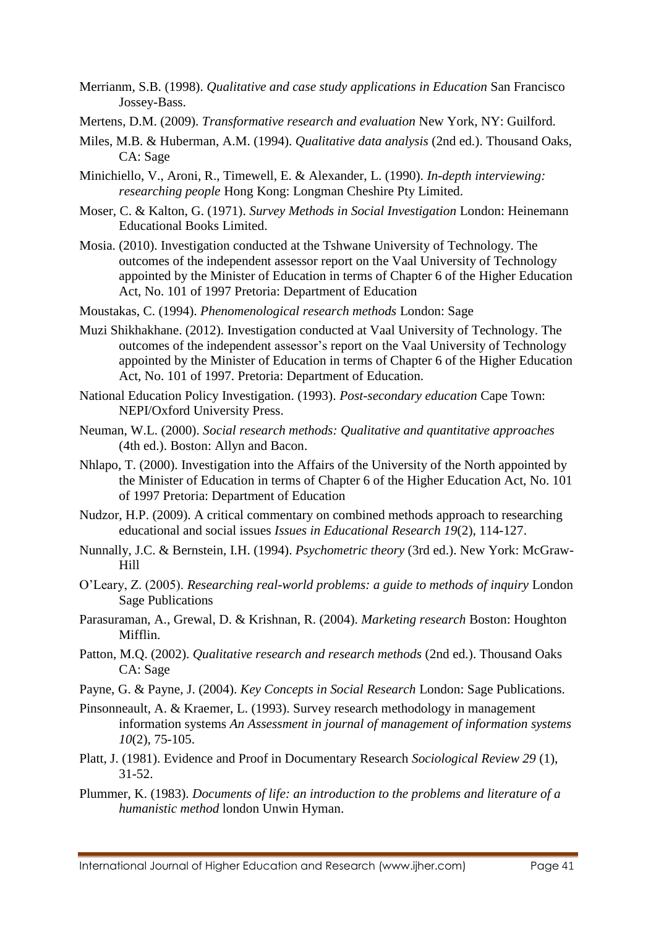- Merrianm, S.B. (1998). *Qualitative and case study applications in Education* San Francisco Jossey-Bass.
- Mertens, D.M. (2009). *Transformative research and evaluation* New York, NY: Guilford.
- Miles, M.B. & Huberman, A.M. (1994). *Qualitative data analysis* (2nd ed.). Thousand Oaks, CA: Sage
- Minichiello, V., Aroni, R., Timewell, E. & Alexander, L. (1990). *In-depth interviewing: researching people* Hong Kong: Longman Cheshire Pty Limited.
- Moser, C. & Kalton, G. (1971). *Survey Methods in Social Investigation* London: Heinemann Educational Books Limited.
- Mosia. (2010). Investigation conducted at the Tshwane University of Technology. The outcomes of the independent assessor report on the Vaal University of Technology appointed by the Minister of Education in terms of Chapter 6 of the Higher Education Act, No. 101 of 1997 Pretoria: Department of Education
- Moustakas, C. (1994). *Phenomenological research methods* London: Sage
- Muzi Shikhakhane. (2012). Investigation conducted at Vaal University of Technology. The outcomes of the independent assessor's report on the Vaal University of Technology appointed by the Minister of Education in terms of Chapter 6 of the Higher Education Act, No. 101 of 1997. Pretoria: Department of Education.
- National Education Policy Investigation. (1993). *Post-secondary education* Cape Town: NEPI/Oxford University Press.
- Neuman, W.L. (2000). *Social research methods: Qualitative and quantitative approaches*  (4th ed.). Boston: Allyn and Bacon.
- Nhlapo, T. (2000). Investigation into the Affairs of the University of the North appointed by the Minister of Education in terms of Chapter 6 of the Higher Education Act, No. 101 of 1997 Pretoria: Department of Education
- Nudzor, H.P. (2009). A critical commentary on combined methods approach to researching educational and social issues *Issues in Educational Research 19*(2), 114-127.
- Nunnally, J.C. & Bernstein, I.H. (1994). *Psychometric theory* (3rd ed.). New York: McGraw-Hill
- O'Leary, Z. (2005). *Researching real-world problems: a guide to methods of inquiry* London Sage Publications
- Parasuraman, A., Grewal, D. & Krishnan, R. (2004). *Marketing research* Boston: Houghton Mifflin.
- Patton, M.Q. (2002). *Qualitative research and research methods* (2nd ed.). Thousand Oaks CA: Sage
- Payne, G. & Payne, J. (2004). *Key Concepts in Social Research* London: Sage Publications.
- Pinsonneault, A. & Kraemer, L. (1993). Survey research methodology in management information systems *An Assessment in journal of management of information systems 10*(2), 75-105.
- Platt, J. (1981). Evidence and Proof in Documentary Research *Sociological Review 29* (1), 31-52.
- Plummer, K. (1983). *Documents of life: an introduction to the problems and literature of a humanistic method* london Unwin Hyman.